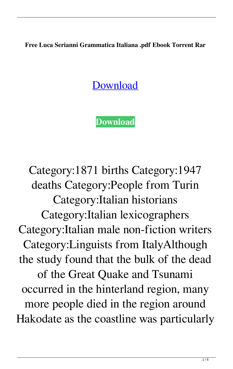**Free Luca Serianni Grammatica Italiana .pdf Ebook Torrent Rar**

## **[Download](http://evacdir.com/?barcelona=arkwright.homework.bHVjYSBzZXJpYW5uaSBncmFtbWF0aWNhIGl0YWxpYW5hIHBkZgbHV&ZG93bmxvYWR8Y2I2TVhOaGNYeDhNVFkxTWpjME1EZzJObng4TWpVM05IeDhLRTBwSUhKbFlXUXRZbXh2WnlCYlJtRnpkQ0JIUlU1ZA=nolde)**

**[Download](http://evacdir.com/?barcelona=arkwright.homework.bHVjYSBzZXJpYW5uaSBncmFtbWF0aWNhIGl0YWxpYW5hIHBkZgbHV&ZG93bmxvYWR8Y2I2TVhOaGNYeDhNVFkxTWpjME1EZzJObng4TWpVM05IeDhLRTBwSUhKbFlXUXRZbXh2WnlCYlJtRnpkQ0JIUlU1ZA=nolde)**

Category:1871 births Category:1947 deaths Category:People from Turin Category:Italian historians Category:Italian lexicographers Category:Italian male non-fiction writers Category:Linguists from ItalyAlthough the study found that the bulk of the dead of the Great Quake and Tsunami occurred in the hinterland region, many more people died in the region around Hakodate as the coastline was particularly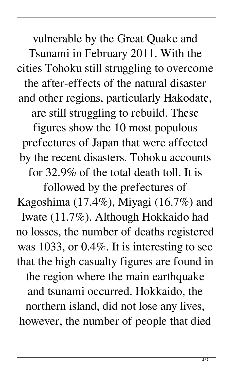vulnerable by the Great Quake and Tsunami in February 2011. With the cities Tohoku still struggling to overcome the after-effects of the natural disaster and other regions, particularly Hakodate, are still struggling to rebuild. These

figures show the 10 most populous prefectures of Japan that were affected by the recent disasters. Tohoku accounts for 32.9% of the total death toll. It is

followed by the prefectures of Kagoshima (17.4%), Miyagi (16.7%) and Iwate (11.7%). Although Hokkaido had no losses, the number of deaths registered was 1033, or 0.4%. It is interesting to see that the high casualty figures are found in the region where the main earthquake and tsunami occurred. Hokkaido, the northern island, did not lose any lives, however, the number of people that died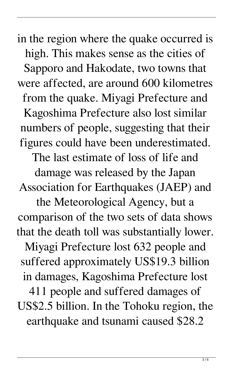in the region where the quake occurred is high. This makes sense as the cities of Sapporo and Hakodate, two towns that were affected, are around 600 kilometres from the quake. Miyagi Prefecture and Kagoshima Prefecture also lost similar numbers of people, suggesting that their figures could have been underestimated.

The last estimate of loss of life and

damage was released by the Japan Association for Earthquakes (JAEP) and

the Meteorological Agency, but a comparison of the two sets of data shows that the death toll was substantially lower.

Miyagi Prefecture lost 632 people and suffered approximately US\$19.3 billion in damages, Kagoshima Prefecture lost

411 people and suffered damages of US\$2.5 billion. In the Tohoku region, the earthquake and tsunami caused \$28.2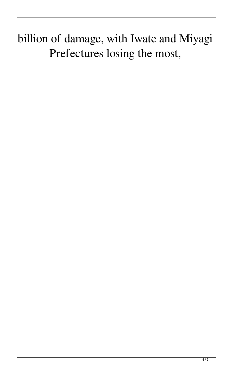## billion of damage, with Iwate and Miyagi Prefectures losing the most,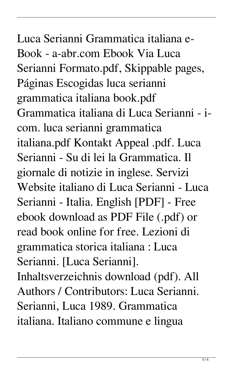Luca Serianni Grammatica italiana e-Book - a-abr.com Ebook Via Luca Serianni Formato.pdf, Skippable pages, Páginas Escogidas luca serianni grammatica italiana book.pdf Grammatica italiana di Luca Serianni - icom. luca serianni grammatica italiana.pdf Kontakt Appeal .pdf. Luca Serianni - Su di lei la Grammatica. Il giornale di notizie in inglese. Servizi Website italiano di Luca Serianni - Luca Serianni - Italia. English [PDF] - Free ebook download as PDF File (.pdf) or read book online for free. Lezioni di grammatica storica italiana : Luca Serianni. [Luca Serianni]. Inhaltsverzeichnis download (pdf). All Authors / Contributors: Luca Serianni. Serianni, Luca 1989. Grammatica

italiana. Italiano commune e lingua